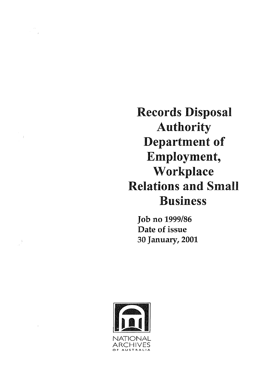Records Disposal Authority Department of Employment, Workplace Relations and Small Business

**Job no 1999/86 Date of issue 30 January, 2001**



 $\label{eq:1} \frac{\partial S}{\partial t} = \frac{1}{T}$ 

 $\frac{1}{2\pi\sqrt{2}}$ 

 $\sim 10^7$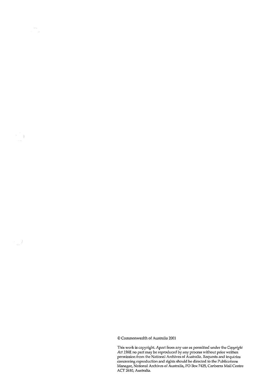© Commonwealth of Australia 2001

 $\label{eq:1} \begin{array}{c} \left( \frac{1}{2} \log \frac{1}{2} \right) \\ \left( \frac{1}{2} \log \frac{1}{2} \right) \leq \frac{1}{2} \end{array}$ 

 $\left\langle \frac{1}{2} \right\rangle_{\rm{max}} \left\langle \frac{1}{2} \right\rangle$ 

This work is copyright. Apart from any use as permitted under the *Copyright*  Act 1968, no part may be reproduced by any process without prior written permission from the National Archives of Australia. Requests and inquiries conceming reproduction and rights should be directed to the Publications Manager, National Archives of Australia, PO Box 7425, Canberra Mail Centre ACT 2610, Australia.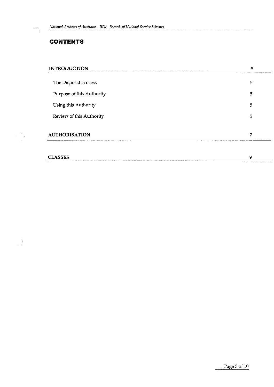# **CONTENTS**

 $\frac{1}{\sqrt{2}}$ 

 $\begin{array}{c} \alpha_1 \\ \alpha_2 \\ \beta_3 \end{array}$ 

 $\begin{pmatrix} 1 \\ 0 \\ 0 \end{pmatrix}$ 

| <b>INTRODUCTION</b>       |   |
|---------------------------|---|
| The Disposal Process      | 5 |
| Purpose of this Authority | 5 |
| Using this Authority      | 5 |
| Review of this Authority  | 5 |
| <b>AUTHORISATION</b>      | 7 |
| <b>CLASSES</b>            | 9 |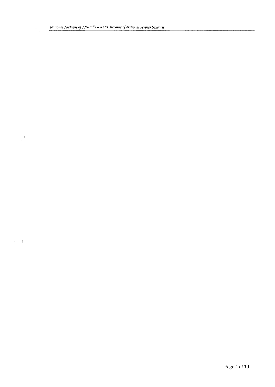Ţ,

 $\begin{pmatrix} 1 \\ 0 \\ 0 \end{pmatrix}$ 

 $\label{eq:3} \begin{array}{c} \mathcal{L}_{\text{max}} \left( \frac{1}{\sqrt{2}} \right) \\ \mathcal{L}_{\text{max}} \left( \frac{1}{\sqrt{2}} \right) \end{array}$ 

Page 4 of 10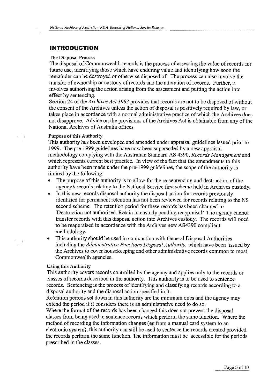# INTRODUCTION

### The Disposal Process

The disposal of Commonwealth records is the process of assessing the value of records for future use, identifying those which have enduring value and identifying how soon the remainder can be destroyed or otherwise disposed of. The process can also involve the transfer of ownership or custody of records and the alteration of records. Further, it involves authorising the action arising from the assessment and putting the action into effect by sentencing.

Section 24 of the *Archives Act 1983* provides that records are not to be disposed of without the consent of the Archives unless the action of disposal is positively required by law, or takes place in accordance with a normal administrative practice of which the Archives does not disapprove. Advice on the provisions of the Archives Act is obtainable from any of the National Archives of Australia offices.

### Purpose of this Authority

This authority has been developed and amended under appraisal guidelines issued prior to 1999. The pre-I 999 guidelines have now been superseded by a new appraisal methodology complying with the Australian Standard AS 4390, *Records Management* and which represents current best practice. In view of the fact that the amendments to this authority have been made under the pre-1999 guidelines, the scope of the authority is limited by the following:

- The purpose of this authority is to allow for the re-sentencing and destruction of the agency's records relating to the National Service first scheme held in Archives custody.
- In this new records disposal authority the disposal action for records previously identified for permanent retention has not been reviewed for records relating to the NS second scheme. The retention period for these records has been changed to Destruction not authorised. Retain in custody pending reappraisal' The agency cannot transfer records with this disposal action into Archives custody. The records will need to be reappraised in accordance with the Archives new AS4390 compliant methodology.
- This authority should be used in conjunction with General Disposal Authorities including the *Administrative Functions Disposal Authority,* which have been issued by the Archives to cover housekeeping and other administrative records common to most Commonwealth agencies.

#### Using this Authority

This authority covers records controlled by the agency and applies only to the records or classes of records described in the authority. This authority is to be used to sentence records. Sentencing is the process of identifying and classifying records according to a disposal authority and the disposal action specified in it.

Retention periods set down in this authority are the minimum ones and the agency may extend the period if it considers there is an administrative need to do so.

Where the format of the records has been changed this does not prevent the disposal classes from being used to sentence records which perform the same function. Where the method of recording the information changes (eg from a manual card system to an electronic system), this authority can still be used to sentence the records created provided the records perform the same function. The information must be accessible for the periods prescribed in the classes.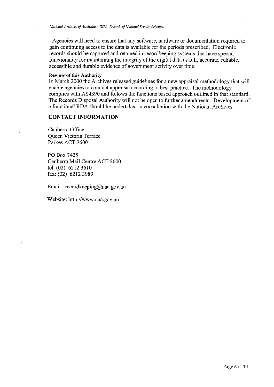Agencies will need to ensure that any software, hardware or documentation required to gain continuing access to the data is available for the periods prescribed. Electronic records should be captured and retained in recordkeeping systems that have special functionality for maintaining the integrity of the digital data as full, accurate, reliable, accessible and durable evidence of government activity over time.

### Review of this Authority

In March 2000 the Archives released guidelines for a new appraisal methodology that will enable agencies to conduct appraisal according to best practice. The methodology complies with AS4390 and follows the functions based approach outlined in that standard. The Records Disposal Authority will not be open to further amendments. Development of a functional RDA should be undertaken in consultation with the National Archives.

# CONTACT INFORMATION

Canberra Office Queen Victoria Terrace Parkes ACT 2600

PO Box 7425 Canberra Mail Centre ACT 2600 tel: (02) 62123610 fax: (02) 62123989

Email: recordkeeping@naa.gov.au

Website: http://www.naa.gov.au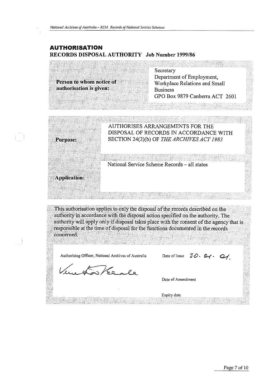### **AUTHORISATION RECORDS DISPOSAL AUTHORITY Job Number 1999/86**

Secretary Department of Employment, Person to whom notice of Workplace Relations and Small authorisation is given: Business GPO Box 9879 Canberra ACT 2601

AUTHORISES ARRANGEMENTS FOR THE DISPOSAL OF RECORDS IN ACCORDANCE WITH SECTION 24(2)(b) OF *THE ARCHIVES ACT 1983*  **Purpose:** National Service Scheme Records - all states **Application:** 

This authorisation applies to only the disposal of the records described on the authority in accordance with the disposal action specified on the authority. The authority will apply only if disposal takes place with the consent of the agency that is responsible at the time of disposal for the functions documented in the records concerned.

Authorising Officer, National Archives of Australia Date of Issue  $\mathcal{J}\mathcal{O}\cdot\mathcal{Q}\cdot\mathcal{Q}$ .

wester Heale

**Date of Amendment** 

Expiry date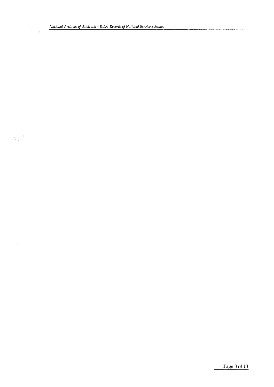$\binom{2}{2}$ 

 $\frac{1}{\sqrt{2}}$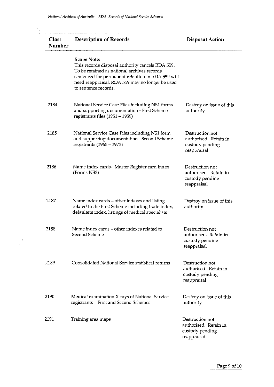$\begin{array}{c} \mathbb{R}^3 \setminus \mathbb{R}^3 \\ \mathbb{R}^3 \setminus \mathbb{R}^3 \end{array}$ 

 $\mathcal{A}$ 

| <b>Class</b><br><b>Number</b> | <b>Description of Records</b>                                                                                                                                                                                                                         | <b>Disposal Action</b>                                                     |
|-------------------------------|-------------------------------------------------------------------------------------------------------------------------------------------------------------------------------------------------------------------------------------------------------|----------------------------------------------------------------------------|
|                               | <b>Scope Note:</b><br>This records disposal authority cancels RDA 559.<br>To be retained as national archives records<br>sentenced for permanent retention in RDA 559 will<br>need reappraisal. RDA 559 may no longer be used<br>to sentence records. |                                                                            |
| 2184                          | National Service Case Files including NS1 forms<br>and supporting documentation - First Scheme<br>registrants files $(1951 - 1959)$                                                                                                                   | Destroy on issue of this<br>authority                                      |
| 2185                          | National Service Case Files including NS1 form<br>and supporting documentation - Second Scheme<br>registrants $(1965 - 1973)$                                                                                                                         | Destruction not<br>authorised. Retain in<br>custody pending<br>reappraisal |
| 2186                          | Name Index cards- Master Register card index<br>(Forms NS3)                                                                                                                                                                                           | Destruction not<br>authorised. Retain in<br>custody pending<br>reappraisal |
| 2187                          | Name index cards - other indexes and listing<br>related to the First Scheme including trade index,<br>defaulters index, listings of medical specialists                                                                                               | Destroy on issue of this<br>authority                                      |
| 2188                          | Name index cards – other indexes related to<br>Second Scheme                                                                                                                                                                                          | Destruction not<br>authorised. Retain in<br>custody pending<br>reappraisal |
| 2189                          | Consolidated National Service statistical returns                                                                                                                                                                                                     | Destruction not<br>authorised. Retain in<br>custody pending<br>reappraisal |
| 2190                          | Medical examination X-rays of National Service<br>registrants - First and Second Schemes                                                                                                                                                              | Destroy on issue of this<br>authority                                      |
| 2191                          | Training area maps                                                                                                                                                                                                                                    | Destruction not<br>authorised. Retain in<br>custody pending<br>reappraisal |